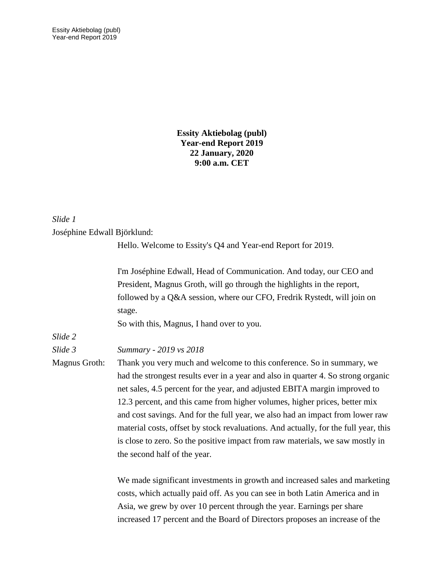**Essity Aktiebolag (publ) Year-end Report 2019 22 January, 2020 9:00 a.m. CET**

## *Slide 1*

#### Joséphine Edwall Björklund:

Hello. Welcome to Essity's Q4 and Year-end Report for 2019.

I'm Joséphine Edwall, Head of Communication. And today, our CEO and President, Magnus Groth, will go through the highlights in the report, followed by a Q&A session, where our CFO, Fredrik Rystedt, will join on stage.

So with this, Magnus, I hand over to you.

*Slide 2*

*Slide 3 Summary - 2019 vs 2018*

Magnus Groth: Thank you very much and welcome to this conference. So in summary, we had the strongest results ever in a year and also in quarter 4. So strong organic net sales, 4.5 percent for the year, and adjusted EBITA margin improved to 12.3 percent, and this came from higher volumes, higher prices, better mix and cost savings. And for the full year, we also had an impact from lower raw material costs, offset by stock revaluations. And actually, for the full year, this is close to zero. So the positive impact from raw materials, we saw mostly in the second half of the year.

> We made significant investments in growth and increased sales and marketing costs, which actually paid off. As you can see in both Latin America and in Asia, we grew by over 10 percent through the year. Earnings per share increased 17 percent and the Board of Directors proposes an increase of the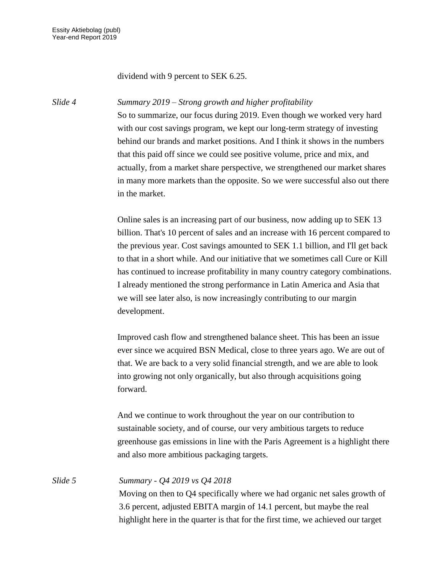### dividend with 9 percent to SEK 6.25.

#### *Slide 4 Summary 2019 – Strong growth and higher profitability*

So to summarize, our focus during 2019. Even though we worked very hard with our cost savings program, we kept our long-term strategy of investing behind our brands and market positions. And I think it shows in the numbers that this paid off since we could see positive volume, price and mix, and actually, from a market share perspective, we strengthened our market shares in many more markets than the opposite. So we were successful also out there in the market.

Online sales is an increasing part of our business, now adding up to SEK 13 billion. That's 10 percent of sales and an increase with 16 percent compared to the previous year. Cost savings amounted to SEK 1.1 billion, and I'll get back to that in a short while. And our initiative that we sometimes call Cure or Kill has continued to increase profitability in many country category combinations. I already mentioned the strong performance in Latin America and Asia that we will see later also, is now increasingly contributing to our margin development.

Improved cash flow and strengthened balance sheet. This has been an issue ever since we acquired BSN Medical, close to three years ago. We are out of that. We are back to a very solid financial strength, and we are able to look into growing not only organically, but also through acquisitions going forward.

And we continue to work throughout the year on our contribution to sustainable society, and of course, our very ambitious targets to reduce greenhouse gas emissions in line with the Paris Agreement is a highlight there and also more ambitious packaging targets.

*Slide 5 Summary - Q4 2019 vs Q4 2018* Moving on then to Q4 specifically where we had organic net sales growth of 3.6 percent, adjusted EBITA margin of 14.1 percent, but maybe the real highlight here in the quarter is that for the first time, we achieved our target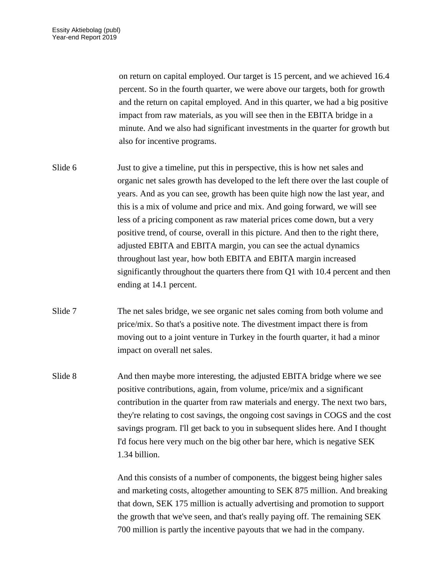on return on capital employed. Our target is 15 percent, and we achieved 16.4 percent. So in the fourth quarter, we were above our targets, both for growth and the return on capital employed. And in this quarter, we had a big positive impact from raw materials, as you will see then in the EBITA bridge in a minute. And we also had significant investments in the quarter for growth but also for incentive programs.

- Slide 6 Just to give a timeline, put this in perspective, this is how net sales and organic net sales growth has developed to the left there over the last couple of years. And as you can see, growth has been quite high now the last year, and this is a mix of volume and price and mix. And going forward, we will see less of a pricing component as raw material prices come down, but a very positive trend, of course, overall in this picture. And then to the right there, adjusted EBITA and EBITA margin, you can see the actual dynamics throughout last year, how both EBITA and EBITA margin increased significantly throughout the quarters there from Q1 with 10.4 percent and then ending at 14.1 percent.
- Slide 7 The net sales bridge, we see organic net sales coming from both volume and price/mix. So that's a positive note. The divestment impact there is from moving out to a joint venture in Turkey in the fourth quarter, it had a minor impact on overall net sales.
- Slide 8 And then maybe more interesting, the adjusted EBITA bridge where we see positive contributions, again, from volume, price/mix and a significant contribution in the quarter from raw materials and energy. The next two bars, they're relating to cost savings, the ongoing cost savings in COGS and the cost savings program. I'll get back to you in subsequent slides here. And I thought I'd focus here very much on the big other bar here, which is negative SEK 1.34 billion.

And this consists of a number of components, the biggest being higher sales and marketing costs, altogether amounting to SEK 875 million. And breaking that down, SEK 175 million is actually advertising and promotion to support the growth that we've seen, and that's really paying off. The remaining SEK 700 million is partly the incentive payouts that we had in the company.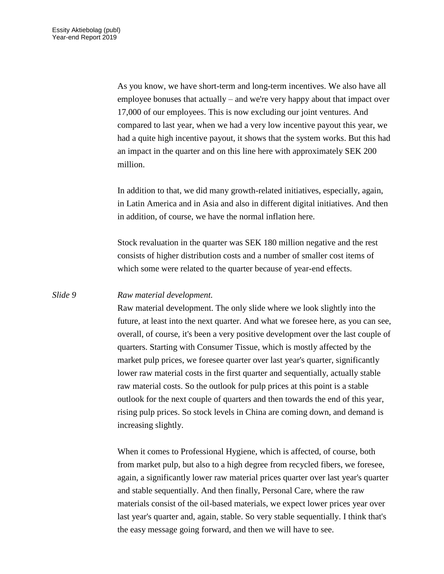As you know, we have short-term and long-term incentives. We also have all employee bonuses that actually – and we're very happy about that impact over 17,000 of our employees. This is now excluding our joint ventures. And compared to last year, when we had a very low incentive payout this year, we had a quite high incentive payout, it shows that the system works. But this had an impact in the quarter and on this line here with approximately SEK 200 million.

In addition to that, we did many growth-related initiatives, especially, again, in Latin America and in Asia and also in different digital initiatives. And then in addition, of course, we have the normal inflation here.

Stock revaluation in the quarter was SEK 180 million negative and the rest consists of higher distribution costs and a number of smaller cost items of which some were related to the quarter because of year-end effects.

## *Slide 9 Raw material development.*

Raw material development. The only slide where we look slightly into the future, at least into the next quarter. And what we foresee here, as you can see, overall, of course, it's been a very positive development over the last couple of quarters. Starting with Consumer Tissue, which is mostly affected by the market pulp prices, we foresee quarter over last year's quarter, significantly lower raw material costs in the first quarter and sequentially, actually stable raw material costs. So the outlook for pulp prices at this point is a stable outlook for the next couple of quarters and then towards the end of this year, rising pulp prices. So stock levels in China are coming down, and demand is increasing slightly.

When it comes to Professional Hygiene, which is affected, of course, both from market pulp, but also to a high degree from recycled fibers, we foresee, again, a significantly lower raw material prices quarter over last year's quarter and stable sequentially. And then finally, Personal Care, where the raw materials consist of the oil-based materials, we expect lower prices year over last year's quarter and, again, stable. So very stable sequentially. I think that's the easy message going forward, and then we will have to see.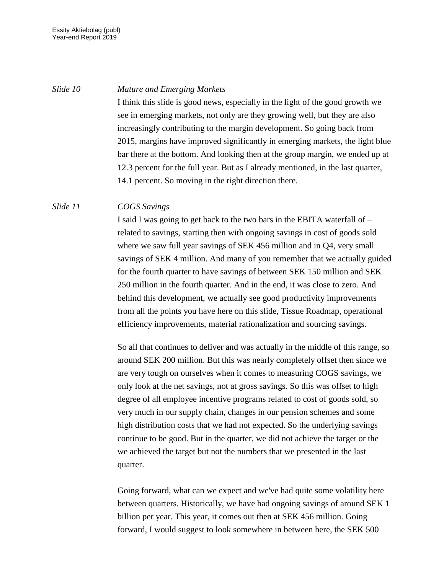### *Slide 10 Mature and Emerging Markets*

I think this slide is good news, especially in the light of the good growth we see in emerging markets, not only are they growing well, but they are also increasingly contributing to the margin development. So going back from 2015, margins have improved significantly in emerging markets, the light blue bar there at the bottom. And looking then at the group margin, we ended up at 12.3 percent for the full year. But as I already mentioned, in the last quarter, 14.1 percent. So moving in the right direction there.

### *Slide 11 COGS Savings*

I said I was going to get back to the two bars in the EBITA waterfall of – related to savings, starting then with ongoing savings in cost of goods sold where we saw full year savings of SEK 456 million and in Q4, very small savings of SEK 4 million. And many of you remember that we actually guided for the fourth quarter to have savings of between SEK 150 million and SEK 250 million in the fourth quarter. And in the end, it was close to zero. And behind this development, we actually see good productivity improvements from all the points you have here on this slide, Tissue Roadmap, operational efficiency improvements, material rationalization and sourcing savings.

So all that continues to deliver and was actually in the middle of this range, so around SEK 200 million. But this was nearly completely offset then since we are very tough on ourselves when it comes to measuring COGS savings, we only look at the net savings, not at gross savings. So this was offset to high degree of all employee incentive programs related to cost of goods sold, so very much in our supply chain, changes in our pension schemes and some high distribution costs that we had not expected. So the underlying savings continue to be good. But in the quarter, we did not achieve the target or the – we achieved the target but not the numbers that we presented in the last quarter.

Going forward, what can we expect and we've had quite some volatility here between quarters. Historically, we have had ongoing savings of around SEK 1 billion per year. This year, it comes out then at SEK 456 million. Going forward, I would suggest to look somewhere in between here, the SEK 500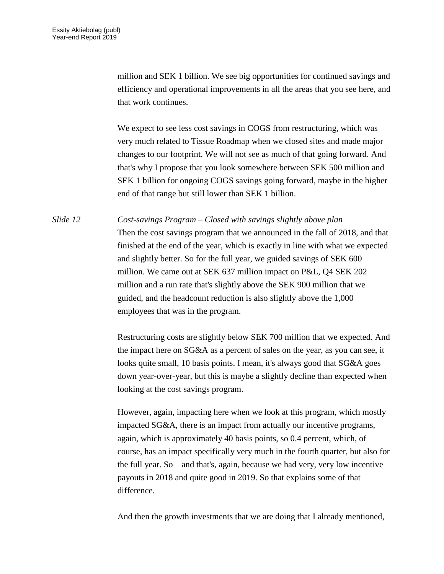million and SEK 1 billion. We see big opportunities for continued savings and efficiency and operational improvements in all the areas that you see here, and that work continues.

We expect to see less cost savings in COGS from restructuring, which was very much related to Tissue Roadmap when we closed sites and made major changes to our footprint. We will not see as much of that going forward. And that's why I propose that you look somewhere between SEK 500 million and SEK 1 billion for ongoing COGS savings going forward, maybe in the higher end of that range but still lower than SEK 1 billion.

*Slide 12 Cost-savings Program – Closed with savings slightly above plan* Then the cost savings program that we announced in the fall of 2018, and that finished at the end of the year, which is exactly in line with what we expected and slightly better. So for the full year, we guided savings of SEK 600 million. We came out at SEK 637 million impact on P&L, Q4 SEK 202 million and a run rate that's slightly above the SEK 900 million that we guided, and the headcount reduction is also slightly above the 1,000 employees that was in the program.

> Restructuring costs are slightly below SEK 700 million that we expected. And the impact here on SG&A as a percent of sales on the year, as you can see, it looks quite small, 10 basis points. I mean, it's always good that SG&A goes down year-over-year, but this is maybe a slightly decline than expected when looking at the cost savings program.

> However, again, impacting here when we look at this program, which mostly impacted SG&A, there is an impact from actually our incentive programs, again, which is approximately 40 basis points, so 0.4 percent, which, of course, has an impact specifically very much in the fourth quarter, but also for the full year. So – and that's, again, because we had very, very low incentive payouts in 2018 and quite good in 2019. So that explains some of that difference.

And then the growth investments that we are doing that I already mentioned,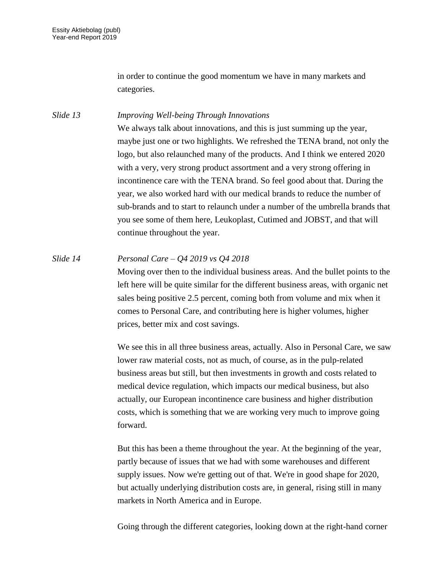in order to continue the good momentum we have in many markets and categories.

*Slide 13 Improving Well-being Through Innovations* We always talk about innovations, and this is just summing up the year, maybe just one or two highlights. We refreshed the TENA brand, not only the logo, but also relaunched many of the products. And I think we entered 2020 with a very, very strong product assortment and a very strong offering in incontinence care with the TENA brand. So feel good about that. During the year, we also worked hard with our medical brands to reduce the number of sub-brands and to start to relaunch under a number of the umbrella brands that you see some of them here, Leukoplast, Cutimed and JOBST, and that will continue throughout the year.

*Slide 14 Personal Care – Q4 2019 vs Q4 2018* Moving over then to the individual business areas. And the bullet points to the left here will be quite similar for the different business areas, with organic net sales being positive 2.5 percent, coming both from volume and mix when it comes to Personal Care, and contributing here is higher volumes, higher prices, better mix and cost savings.

> We see this in all three business areas, actually. Also in Personal Care, we saw lower raw material costs, not as much, of course, as in the pulp-related business areas but still, but then investments in growth and costs related to medical device regulation, which impacts our medical business, but also actually, our European incontinence care business and higher distribution costs, which is something that we are working very much to improve going forward.

But this has been a theme throughout the year. At the beginning of the year, partly because of issues that we had with some warehouses and different supply issues. Now we're getting out of that. We're in good shape for 2020, but actually underlying distribution costs are, in general, rising still in many markets in North America and in Europe.

Going through the different categories, looking down at the right-hand corner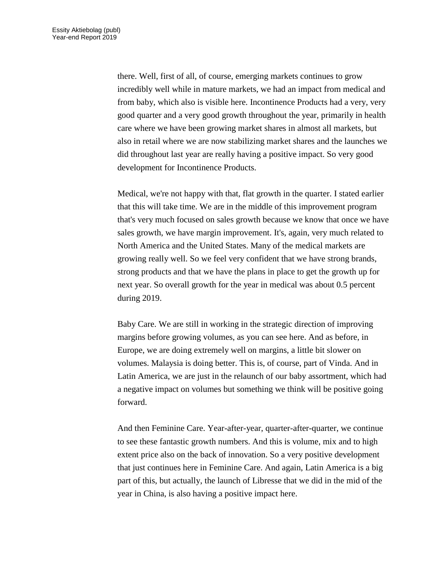there. Well, first of all, of course, emerging markets continues to grow incredibly well while in mature markets, we had an impact from medical and from baby, which also is visible here. Incontinence Products had a very, very good quarter and a very good growth throughout the year, primarily in health care where we have been growing market shares in almost all markets, but also in retail where we are now stabilizing market shares and the launches we did throughout last year are really having a positive impact. So very good development for Incontinence Products.

Medical, we're not happy with that, flat growth in the quarter. I stated earlier that this will take time. We are in the middle of this improvement program that's very much focused on sales growth because we know that once we have sales growth, we have margin improvement. It's, again, very much related to North America and the United States. Many of the medical markets are growing really well. So we feel very confident that we have strong brands, strong products and that we have the plans in place to get the growth up for next year. So overall growth for the year in medical was about 0.5 percent during 2019.

Baby Care. We are still in working in the strategic direction of improving margins before growing volumes, as you can see here. And as before, in Europe, we are doing extremely well on margins, a little bit slower on volumes. Malaysia is doing better. This is, of course, part of Vinda. And in Latin America, we are just in the relaunch of our baby assortment, which had a negative impact on volumes but something we think will be positive going forward.

And then Feminine Care. Year-after-year, quarter-after-quarter, we continue to see these fantastic growth numbers. And this is volume, mix and to high extent price also on the back of innovation. So a very positive development that just continues here in Feminine Care. And again, Latin America is a big part of this, but actually, the launch of Libresse that we did in the mid of the year in China, is also having a positive impact here.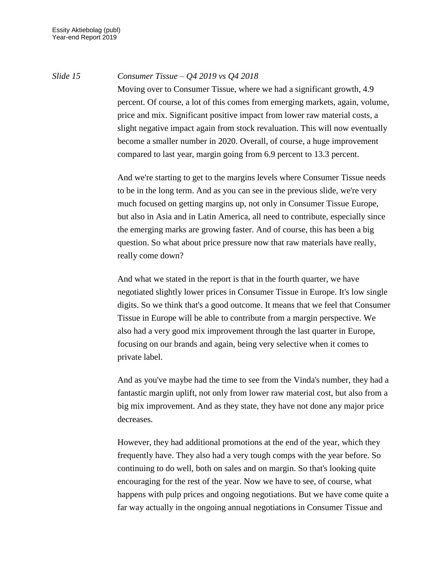# *Slide 15 Consumer Tissue – Q4 2019 vs Q4 2018*

Moving over to Consumer Tissue, where we had a significant growth, 4.9 percent. Of course, a lot of this comes from emerging markets, again, volume, price and mix. Significant positive impact from lower raw material costs, a slight negative impact again from stock revaluation. This will now eventually become a smaller number in 2020. Overall, of course, a huge improvement compared to last year, margin going from 6.9 percent to 13.3 percent.

And we're starting to get to the margins levels where Consumer Tissue needs to be in the long term. And as you can see in the previous slide, we're very much focused on getting margins up, not only in Consumer Tissue Europe, but also in Asia and in Latin America, all need to contribute, especially since the emerging marks are growing faster. And of course, this has been a big question. So what about price pressure now that raw materials have really, really come down?

And what we stated in the report is that in the fourth quarter, we have negotiated slightly lower prices in Consumer Tissue in Europe. It's low single digits. So we think that's a good outcome. It means that we feel that Consumer Tissue in Europe will be able to contribute from a margin perspective. We also had a very good mix improvement through the last quarter in Europe, focusing on our brands and again, being very selective when it comes to private label.

And as you've maybe had the time to see from the Vinda's number, they had a fantastic margin uplift, not only from lower raw material cost, but also from a big mix improvement. And as they state, they have not done any major price decreases.

However, they had additional promotions at the end of the year, which they frequently have. They also had a very tough comps with the year before. So continuing to do well, both on sales and on margin. So that's looking quite encouraging for the rest of the year. Now we have to see, of course, what happens with pulp prices and ongoing negotiations. But we have come quite a far way actually in the ongoing annual negotiations in Consumer Tissue and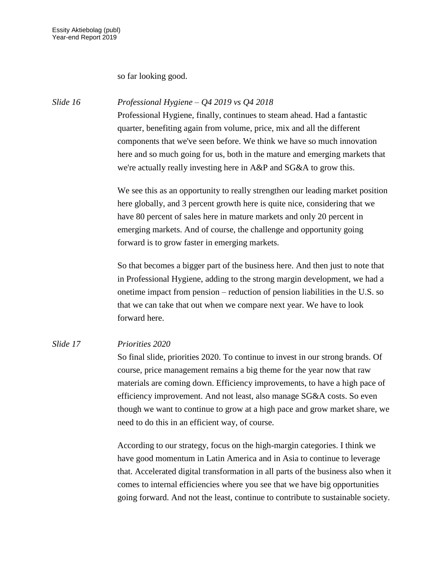so far looking good.

*Slide 16 Professional Hygiene – Q4 2019 vs Q4 2018*

Professional Hygiene, finally, continues to steam ahead. Had a fantastic quarter, benefiting again from volume, price, mix and all the different components that we've seen before. We think we have so much innovation here and so much going for us, both in the mature and emerging markets that we're actually really investing here in A&P and SG&A to grow this.

We see this as an opportunity to really strengthen our leading market position here globally, and 3 percent growth here is quite nice, considering that we have 80 percent of sales here in mature markets and only 20 percent in emerging markets. And of course, the challenge and opportunity going forward is to grow faster in emerging markets.

So that becomes a bigger part of the business here. And then just to note that in Professional Hygiene, adding to the strong margin development, we had a onetime impact from pension – reduction of pension liabilities in the U.S. so that we can take that out when we compare next year. We have to look forward here.

# *Slide 17 Priorities 2020*

So final slide, priorities 2020. To continue to invest in our strong brands. Of course, price management remains a big theme for the year now that raw materials are coming down. Efficiency improvements, to have a high pace of efficiency improvement. And not least, also manage SG&A costs. So even though we want to continue to grow at a high pace and grow market share, we need to do this in an efficient way, of course.

According to our strategy, focus on the high-margin categories. I think we have good momentum in Latin America and in Asia to continue to leverage that. Accelerated digital transformation in all parts of the business also when it comes to internal efficiencies where you see that we have big opportunities going forward. And not the least, continue to contribute to sustainable society.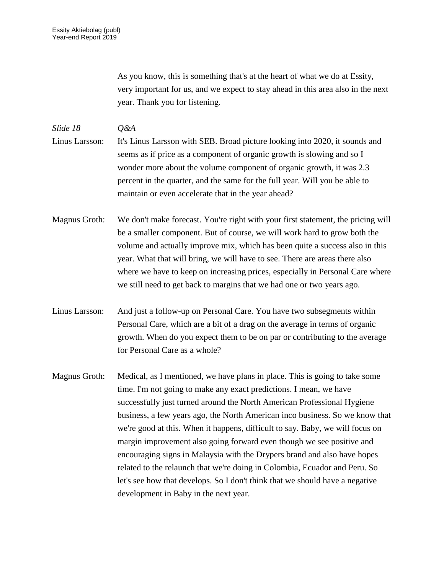As you know, this is something that's at the heart of what we do at Essity, very important for us, and we expect to stay ahead in this area also in the next year. Thank you for listening.

*Slide 18 Q&A* Linus Larsson: It's Linus Larsson with SEB. Broad picture looking into 2020, it sounds and seems as if price as a component of organic growth is slowing and so I wonder more about the volume component of organic growth, it was 2.3 percent in the quarter, and the same for the full year. Will you be able to maintain or even accelerate that in the year ahead?

Magnus Groth: We don't make forecast. You're right with your first statement, the pricing will be a smaller component. But of course, we will work hard to grow both the volume and actually improve mix, which has been quite a success also in this year. What that will bring, we will have to see. There are areas there also where we have to keep on increasing prices, especially in Personal Care where we still need to get back to margins that we had one or two years ago.

Linus Larsson: And just a follow-up on Personal Care. You have two subsegments within Personal Care, which are a bit of a drag on the average in terms of organic growth. When do you expect them to be on par or contributing to the average for Personal Care as a whole?

Magnus Groth: Medical, as I mentioned, we have plans in place. This is going to take some time. I'm not going to make any exact predictions. I mean, we have successfully just turned around the North American Professional Hygiene business, a few years ago, the North American inco business. So we know that we're good at this. When it happens, difficult to say. Baby, we will focus on margin improvement also going forward even though we see positive and encouraging signs in Malaysia with the Drypers brand and also have hopes related to the relaunch that we're doing in Colombia, Ecuador and Peru. So let's see how that develops. So I don't think that we should have a negative development in Baby in the next year.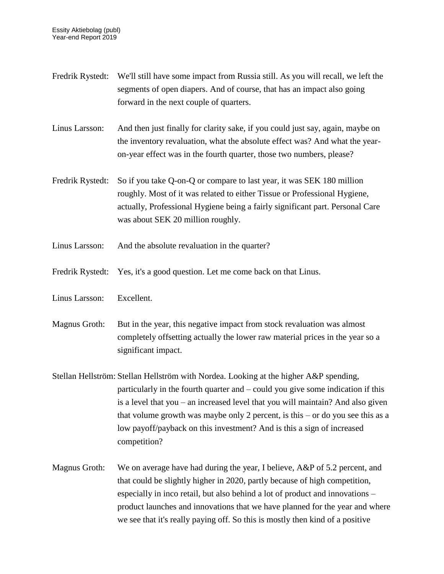Fredrik Rystedt: We'll still have some impact from Russia still. As you will recall, we left the segments of open diapers. And of course, that has an impact also going forward in the next couple of quarters. Linus Larsson: And then just finally for clarity sake, if you could just say, again, maybe on the inventory revaluation, what the absolute effect was? And what the yearon-year effect was in the fourth quarter, those two numbers, please? Fredrik Rystedt: So if you take Q-on-Q or compare to last year, it was SEK 180 million roughly. Most of it was related to either Tissue or Professional Hygiene, actually, Professional Hygiene being a fairly significant part. Personal Care was about SEK 20 million roughly. Linus Larsson: And the absolute revaluation in the quarter? Fredrik Rystedt: Yes, it's a good question. Let me come back on that Linus. Linus Larsson: Excellent. Magnus Groth: But in the year, this negative impact from stock revaluation was almost completely offsetting actually the lower raw material prices in the year so a significant impact. Stellan Hellström: Stellan Hellström with Nordea. Looking at the higher A&P spending, particularly in the fourth quarter and – could you give some indication if this is a level that you – an increased level that you will maintain? And also given that volume growth was maybe only 2 percent, is this – or do you see this as a low payoff/payback on this investment? And is this a sign of increased competition? Magnus Groth: We on average have had during the year, I believe, A&P of 5.2 percent, and that could be slightly higher in 2020, partly because of high competition, especially in inco retail, but also behind a lot of product and innovations – product launches and innovations that we have planned for the year and where we see that it's really paying off. So this is mostly then kind of a positive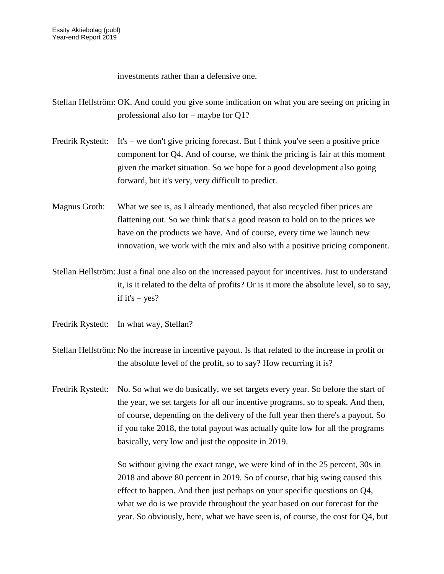investments rather than a defensive one.

Stellan Hellström: OK. And could you give some indication on what you are seeing on pricing in professional also for – maybe for Q1?

- Fredrik Rystedt: It's we don't give pricing forecast. But I think you've seen a positive price component for Q4. And of course, we think the pricing is fair at this moment given the market situation. So we hope for a good development also going forward, but it's very, very difficult to predict.
- Magnus Groth: What we see is, as I already mentioned, that also recycled fiber prices are flattening out. So we think that's a good reason to hold on to the prices we have on the products we have. And of course, every time we launch new innovation, we work with the mix and also with a positive pricing component.
- Stellan Hellström: Just a final one also on the increased payout for incentives. Just to understand it, is it related to the delta of profits? Or is it more the absolute level, so to say, if it's  $-$  yes?
- Fredrik Rystedt: In what way, Stellan?
- Stellan Hellström: No the increase in incentive payout. Is that related to the increase in profit or the absolute level of the profit, so to say? How recurring it is?
- Fredrik Rystedt: No. So what we do basically, we set targets every year. So before the start of the year, we set targets for all our incentive programs, so to speak. And then, of course, depending on the delivery of the full year then there's a payout. So if you take 2018, the total payout was actually quite low for all the programs basically, very low and just the opposite in 2019.

So without giving the exact range, we were kind of in the 25 percent, 30s in 2018 and above 80 percent in 2019. So of course, that big swing caused this effect to happen. And then just perhaps on your specific questions on Q4, what we do is we provide throughout the year based on our forecast for the year. So obviously, here, what we have seen is, of course, the cost for Q4, but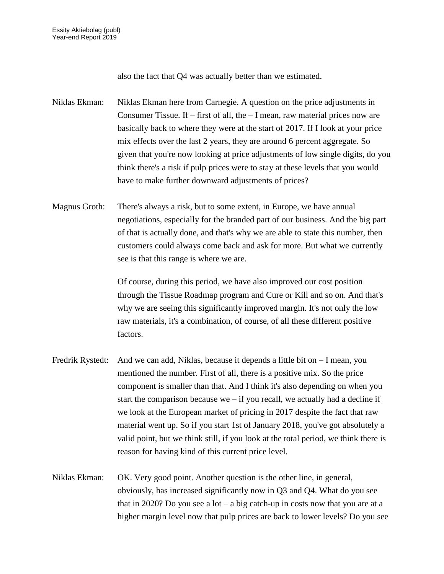also the fact that Q4 was actually better than we estimated.

Niklas Ekman: Niklas Ekman here from Carnegie. A question on the price adjustments in Consumer Tissue. If – first of all, the – I mean, raw material prices now are basically back to where they were at the start of 2017. If I look at your price mix effects over the last 2 years, they are around 6 percent aggregate. So given that you're now looking at price adjustments of low single digits, do you think there's a risk if pulp prices were to stay at these levels that you would have to make further downward adjustments of prices?

Magnus Groth: There's always a risk, but to some extent, in Europe, we have annual negotiations, especially for the branded part of our business. And the big part of that is actually done, and that's why we are able to state this number, then customers could always come back and ask for more. But what we currently see is that this range is where we are.

> Of course, during this period, we have also improved our cost position through the Tissue Roadmap program and Cure or Kill and so on. And that's why we are seeing this significantly improved margin. It's not only the low raw materials, it's a combination, of course, of all these different positive factors.

- Fredrik Rystedt: And we can add, Niklas, because it depends a little bit on I mean, you mentioned the number. First of all, there is a positive mix. So the price component is smaller than that. And I think it's also depending on when you start the comparison because we – if you recall, we actually had a decline if we look at the European market of pricing in 2017 despite the fact that raw material went up. So if you start 1st of January 2018, you've got absolutely a valid point, but we think still, if you look at the total period, we think there is reason for having kind of this current price level.
- Niklas Ekman: OK. Very good point. Another question is the other line, in general, obviously, has increased significantly now in Q3 and Q4. What do you see that in 2020? Do you see a lot – a big catch-up in costs now that you are at a higher margin level now that pulp prices are back to lower levels? Do you see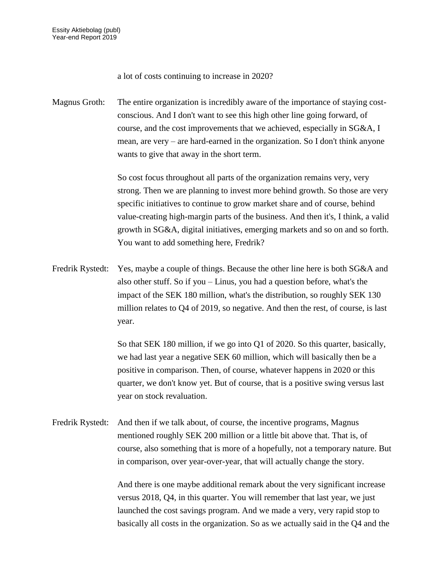a lot of costs continuing to increase in 2020?

Magnus Groth: The entire organization is incredibly aware of the importance of staying costconscious. And I don't want to see this high other line going forward, of course, and the cost improvements that we achieved, especially in SG&A, I mean, are very – are hard-earned in the organization. So I don't think anyone wants to give that away in the short term.

> So cost focus throughout all parts of the organization remains very, very strong. Then we are planning to invest more behind growth. So those are very specific initiatives to continue to grow market share and of course, behind value-creating high-margin parts of the business. And then it's, I think, a valid growth in SG&A, digital initiatives, emerging markets and so on and so forth. You want to add something here, Fredrik?

Fredrik Rystedt: Yes, maybe a couple of things. Because the other line here is both SG&A and also other stuff. So if you – Linus, you had a question before, what's the impact of the SEK 180 million, what's the distribution, so roughly SEK 130 million relates to Q4 of 2019, so negative. And then the rest, of course, is last year.

> So that SEK 180 million, if we go into Q1 of 2020. So this quarter, basically, we had last year a negative SEK 60 million, which will basically then be a positive in comparison. Then, of course, whatever happens in 2020 or this quarter, we don't know yet. But of course, that is a positive swing versus last year on stock revaluation.

Fredrik Rystedt: And then if we talk about, of course, the incentive programs, Magnus mentioned roughly SEK 200 million or a little bit above that. That is, of course, also something that is more of a hopefully, not a temporary nature. But in comparison, over year-over-year, that will actually change the story.

> And there is one maybe additional remark about the very significant increase versus 2018, Q4, in this quarter. You will remember that last year, we just launched the cost savings program. And we made a very, very rapid stop to basically all costs in the organization. So as we actually said in the Q4 and the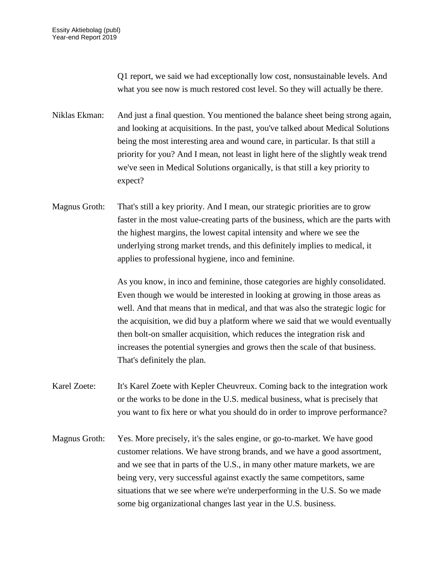Q1 report, we said we had exceptionally low cost, nonsustainable levels. And what you see now is much restored cost level. So they will actually be there.

Niklas Ekman: And just a final question. You mentioned the balance sheet being strong again, and looking at acquisitions. In the past, you've talked about Medical Solutions being the most interesting area and wound care, in particular. Is that still a priority for you? And I mean, not least in light here of the slightly weak trend we've seen in Medical Solutions organically, is that still a key priority to expect?

Magnus Groth: That's still a key priority. And I mean, our strategic priorities are to grow faster in the most value-creating parts of the business, which are the parts with the highest margins, the lowest capital intensity and where we see the underlying strong market trends, and this definitely implies to medical, it applies to professional hygiene, inco and feminine.

> As you know, in inco and feminine, those categories are highly consolidated. Even though we would be interested in looking at growing in those areas as well. And that means that in medical, and that was also the strategic logic for the acquisition, we did buy a platform where we said that we would eventually then bolt-on smaller acquisition, which reduces the integration risk and increases the potential synergies and grows then the scale of that business. That's definitely the plan.

Karel Zoete: It's Karel Zoete with Kepler Cheuvreux. Coming back to the integration work or the works to be done in the U.S. medical business, what is precisely that you want to fix here or what you should do in order to improve performance?

Magnus Groth: Yes. More precisely, it's the sales engine, or go-to-market. We have good customer relations. We have strong brands, and we have a good assortment, and we see that in parts of the U.S., in many other mature markets, we are being very, very successful against exactly the same competitors, same situations that we see where we're underperforming in the U.S. So we made some big organizational changes last year in the U.S. business.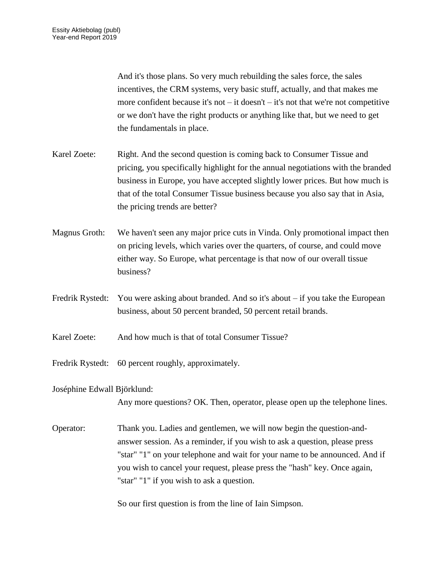And it's those plans. So very much rebuilding the sales force, the sales incentives, the CRM systems, very basic stuff, actually, and that makes me more confident because it's not – it doesn't – it's not that we're not competitive or we don't have the right products or anything like that, but we need to get the fundamentals in place.

- Karel Zoete: Right. And the second question is coming back to Consumer Tissue and pricing, you specifically highlight for the annual negotiations with the branded business in Europe, you have accepted slightly lower prices. But how much is that of the total Consumer Tissue business because you also say that in Asia, the pricing trends are better?
- Magnus Groth: We haven't seen any major price cuts in Vinda. Only promotional impact then on pricing levels, which varies over the quarters, of course, and could move either way. So Europe, what percentage is that now of our overall tissue business?
- Fredrik Rystedt: You were asking about branded. And so it's about if you take the European business, about 50 percent branded, 50 percent retail brands.
- Karel Zoete: And how much is that of total Consumer Tissue?
- Fredrik Rystedt: 60 percent roughly, approximately.

Joséphine Edwall Björklund:

Any more questions? OK. Then, operator, please open up the telephone lines.

Operator: Thank you. Ladies and gentlemen, we will now begin the question-andanswer session. As a reminder, if you wish to ask a question, please press "star" "1" on your telephone and wait for your name to be announced. And if you wish to cancel your request, please press the "hash" key. Once again, "star" "1" if you wish to ask a question.

So our first question is from the line of Iain Simpson.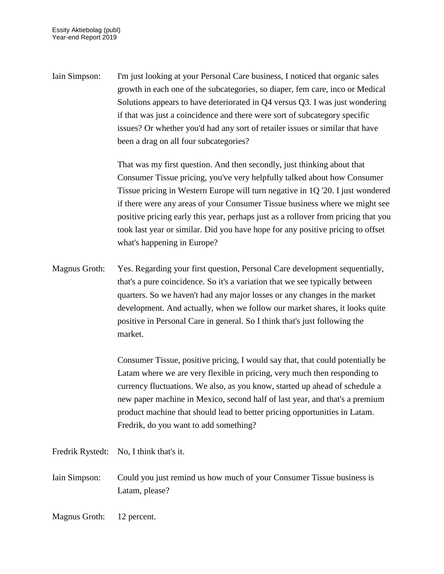Iain Simpson: I'm just looking at your Personal Care business, I noticed that organic sales growth in each one of the subcategories, so diaper, fem care, inco or Medical Solutions appears to have deteriorated in Q4 versus Q3. I was just wondering if that was just a coincidence and there were sort of subcategory specific issues? Or whether you'd had any sort of retailer issues or similar that have been a drag on all four subcategories?

> That was my first question. And then secondly, just thinking about that Consumer Tissue pricing, you've very helpfully talked about how Consumer Tissue pricing in Western Europe will turn negative in 1Q '20. I just wondered if there were any areas of your Consumer Tissue business where we might see positive pricing early this year, perhaps just as a rollover from pricing that you took last year or similar. Did you have hope for any positive pricing to offset what's happening in Europe?

Magnus Groth: Yes. Regarding your first question, Personal Care development sequentially, that's a pure coincidence. So it's a variation that we see typically between quarters. So we haven't had any major losses or any changes in the market development. And actually, when we follow our market shares, it looks quite positive in Personal Care in general. So I think that's just following the market.

> Consumer Tissue, positive pricing, I would say that, that could potentially be Latam where we are very flexible in pricing, very much then responding to currency fluctuations. We also, as you know, started up ahead of schedule a new paper machine in Mexico, second half of last year, and that's a premium product machine that should lead to better pricing opportunities in Latam. Fredrik, do you want to add something?

Fredrik Rystedt: No, I think that's it.

Iain Simpson: Could you just remind us how much of your Consumer Tissue business is Latam, please?

Magnus Groth: 12 percent.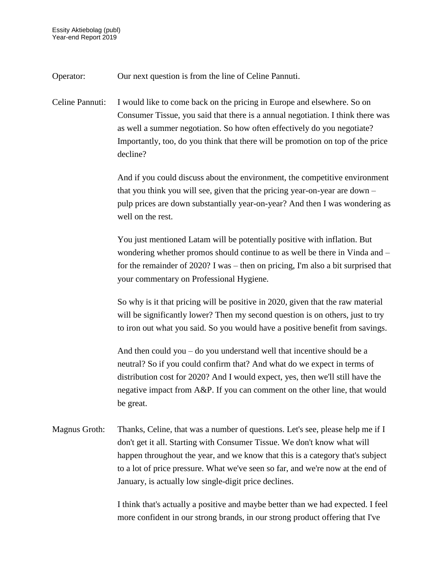Operator: Our next question is from the line of Celine Pannuti.

Celine Pannuti: I would like to come back on the pricing in Europe and elsewhere. So on Consumer Tissue, you said that there is a annual negotiation. I think there was as well a summer negotiation. So how often effectively do you negotiate? Importantly, too, do you think that there will be promotion on top of the price decline?

> And if you could discuss about the environment, the competitive environment that you think you will see, given that the pricing year-on-year are down – pulp prices are down substantially year-on-year? And then I was wondering as well on the rest.

> You just mentioned Latam will be potentially positive with inflation. But wondering whether promos should continue to as well be there in Vinda and – for the remainder of 2020? I was – then on pricing, I'm also a bit surprised that your commentary on Professional Hygiene.

So why is it that pricing will be positive in 2020, given that the raw material will be significantly lower? Then my second question is on others, just to try to iron out what you said. So you would have a positive benefit from savings.

And then could you – do you understand well that incentive should be a neutral? So if you could confirm that? And what do we expect in terms of distribution cost for 2020? And I would expect, yes, then we'll still have the negative impact from A&P. If you can comment on the other line, that would be great.

Magnus Groth: Thanks, Celine, that was a number of questions. Let's see, please help me if I don't get it all. Starting with Consumer Tissue. We don't know what will happen throughout the year, and we know that this is a category that's subject to a lot of price pressure. What we've seen so far, and we're now at the end of January, is actually low single-digit price declines.

> I think that's actually a positive and maybe better than we had expected. I feel more confident in our strong brands, in our strong product offering that I've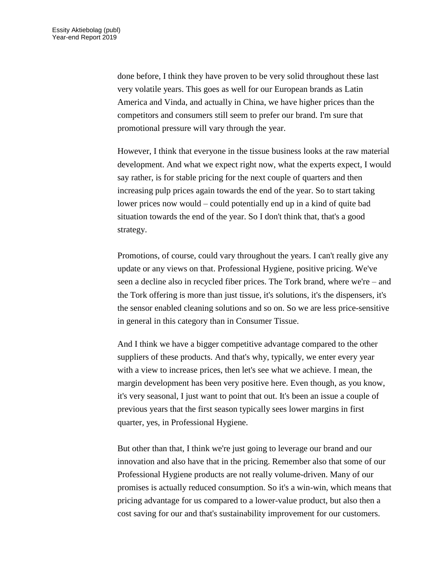done before, I think they have proven to be very solid throughout these last very volatile years. This goes as well for our European brands as Latin America and Vinda, and actually in China, we have higher prices than the competitors and consumers still seem to prefer our brand. I'm sure that promotional pressure will vary through the year.

However, I think that everyone in the tissue business looks at the raw material development. And what we expect right now, what the experts expect, I would say rather, is for stable pricing for the next couple of quarters and then increasing pulp prices again towards the end of the year. So to start taking lower prices now would – could potentially end up in a kind of quite bad situation towards the end of the year. So I don't think that, that's a good strategy.

Promotions, of course, could vary throughout the years. I can't really give any update or any views on that. Professional Hygiene, positive pricing. We've seen a decline also in recycled fiber prices. The Tork brand, where we're – and the Tork offering is more than just tissue, it's solutions, it's the dispensers, it's the sensor enabled cleaning solutions and so on. So we are less price-sensitive in general in this category than in Consumer Tissue.

And I think we have a bigger competitive advantage compared to the other suppliers of these products. And that's why, typically, we enter every year with a view to increase prices, then let's see what we achieve. I mean, the margin development has been very positive here. Even though, as you know, it's very seasonal, I just want to point that out. It's been an issue a couple of previous years that the first season typically sees lower margins in first quarter, yes, in Professional Hygiene.

But other than that, I think we're just going to leverage our brand and our innovation and also have that in the pricing. Remember also that some of our Professional Hygiene products are not really volume-driven. Many of our promises is actually reduced consumption. So it's a win-win, which means that pricing advantage for us compared to a lower-value product, but also then a cost saving for our and that's sustainability improvement for our customers.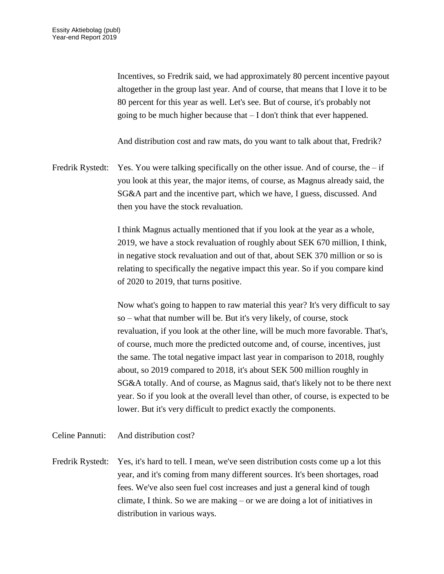Incentives, so Fredrik said, we had approximately 80 percent incentive payout altogether in the group last year. And of course, that means that I love it to be 80 percent for this year as well. Let's see. But of course, it's probably not going to be much higher because that – I don't think that ever happened.

And distribution cost and raw mats, do you want to talk about that, Fredrik?

Fredrik Rystedt: Yes. You were talking specifically on the other issue. And of course, the  $-$  if you look at this year, the major items, of course, as Magnus already said, the SG&A part and the incentive part, which we have, I guess, discussed. And then you have the stock revaluation.

> I think Magnus actually mentioned that if you look at the year as a whole, 2019, we have a stock revaluation of roughly about SEK 670 million, I think, in negative stock revaluation and out of that, about SEK 370 million or so is relating to specifically the negative impact this year. So if you compare kind of 2020 to 2019, that turns positive.

Now what's going to happen to raw material this year? It's very difficult to say so – what that number will be. But it's very likely, of course, stock revaluation, if you look at the other line, will be much more favorable. That's, of course, much more the predicted outcome and, of course, incentives, just the same. The total negative impact last year in comparison to 2018, roughly about, so 2019 compared to 2018, it's about SEK 500 million roughly in SG&A totally. And of course, as Magnus said, that's likely not to be there next year. So if you look at the overall level than other, of course, is expected to be lower. But it's very difficult to predict exactly the components.

Celine Pannuti: And distribution cost?

Fredrik Rystedt: Yes, it's hard to tell. I mean, we've seen distribution costs come up a lot this year, and it's coming from many different sources. It's been shortages, road fees. We've also seen fuel cost increases and just a general kind of tough climate, I think. So we are making – or we are doing a lot of initiatives in distribution in various ways.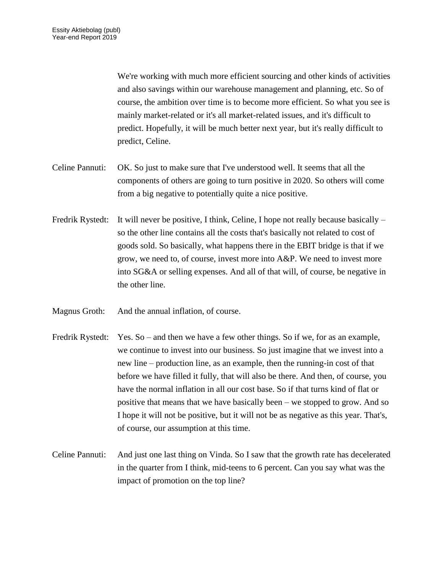We're working with much more efficient sourcing and other kinds of activities and also savings within our warehouse management and planning, etc. So of course, the ambition over time is to become more efficient. So what you see is mainly market-related or it's all market-related issues, and it's difficult to predict. Hopefully, it will be much better next year, but it's really difficult to predict, Celine.

- Celine Pannuti: OK. So just to make sure that I've understood well. It seems that all the components of others are going to turn positive in 2020. So others will come from a big negative to potentially quite a nice positive.
- Fredrik Rystedt: It will never be positive, I think, Celine, I hope not really because basically so the other line contains all the costs that's basically not related to cost of goods sold. So basically, what happens there in the EBIT bridge is that if we grow, we need to, of course, invest more into A&P. We need to invest more into SG&A or selling expenses. And all of that will, of course, be negative in the other line.
- Magnus Groth: And the annual inflation, of course.
- Fredrik Rystedt: Yes. So and then we have a few other things. So if we, for as an example, we continue to invest into our business. So just imagine that we invest into a new line – production line, as an example, then the running-in cost of that before we have filled it fully, that will also be there. And then, of course, you have the normal inflation in all our cost base. So if that turns kind of flat or positive that means that we have basically been – we stopped to grow. And so I hope it will not be positive, but it will not be as negative as this year. That's, of course, our assumption at this time.
- Celine Pannuti: And just one last thing on Vinda. So I saw that the growth rate has decelerated in the quarter from I think, mid-teens to 6 percent. Can you say what was the impact of promotion on the top line?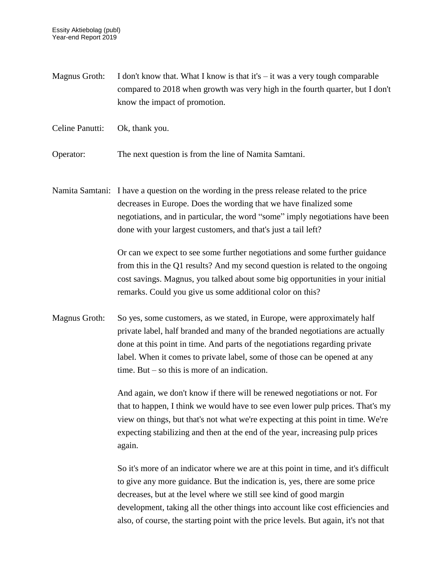Magnus Groth: I don't know that. What I know is that it's  $-$  it was a very tough comparable compared to 2018 when growth was very high in the fourth quarter, but I don't know the impact of promotion.

Celine Panutti: Ok, thank you.

Operator: The next question is from the line of Namita Samtani.

Namita Samtani: I have a question on the wording in the press release related to the price decreases in Europe. Does the wording that we have finalized some negotiations, and in particular, the word "some" imply negotiations have been done with your largest customers, and that's just a tail left?

> Or can we expect to see some further negotiations and some further guidance from this in the Q1 results? And my second question is related to the ongoing cost savings. Magnus, you talked about some big opportunities in your initial remarks. Could you give us some additional color on this?

Magnus Groth: So yes, some customers, as we stated, in Europe, were approximately half private label, half branded and many of the branded negotiations are actually done at this point in time. And parts of the negotiations regarding private label. When it comes to private label, some of those can be opened at any time. But – so this is more of an indication.

> And again, we don't know if there will be renewed negotiations or not. For that to happen, I think we would have to see even lower pulp prices. That's my view on things, but that's not what we're expecting at this point in time. We're expecting stabilizing and then at the end of the year, increasing pulp prices again.

> So it's more of an indicator where we are at this point in time, and it's difficult to give any more guidance. But the indication is, yes, there are some price decreases, but at the level where we still see kind of good margin development, taking all the other things into account like cost efficiencies and also, of course, the starting point with the price levels. But again, it's not that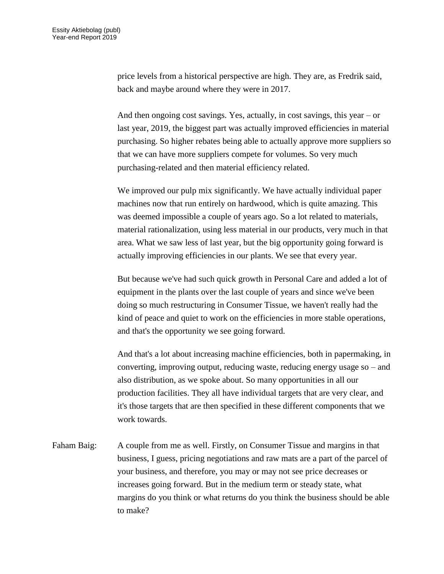price levels from a historical perspective are high. They are, as Fredrik said, back and maybe around where they were in 2017.

And then ongoing cost savings. Yes, actually, in cost savings, this year – or last year, 2019, the biggest part was actually improved efficiencies in material purchasing. So higher rebates being able to actually approve more suppliers so that we can have more suppliers compete for volumes. So very much purchasing-related and then material efficiency related.

We improved our pulp mix significantly. We have actually individual paper machines now that run entirely on hardwood, which is quite amazing. This was deemed impossible a couple of years ago. So a lot related to materials, material rationalization, using less material in our products, very much in that area. What we saw less of last year, but the big opportunity going forward is actually improving efficiencies in our plants. We see that every year.

But because we've had such quick growth in Personal Care and added a lot of equipment in the plants over the last couple of years and since we've been doing so much restructuring in Consumer Tissue, we haven't really had the kind of peace and quiet to work on the efficiencies in more stable operations, and that's the opportunity we see going forward.

And that's a lot about increasing machine efficiencies, both in papermaking, in converting, improving output, reducing waste, reducing energy usage so – and also distribution, as we spoke about. So many opportunities in all our production facilities. They all have individual targets that are very clear, and it's those targets that are then specified in these different components that we work towards.

Faham Baig: A couple from me as well. Firstly, on Consumer Tissue and margins in that business, I guess, pricing negotiations and raw mats are a part of the parcel of your business, and therefore, you may or may not see price decreases or increases going forward. But in the medium term or steady state, what margins do you think or what returns do you think the business should be able to make?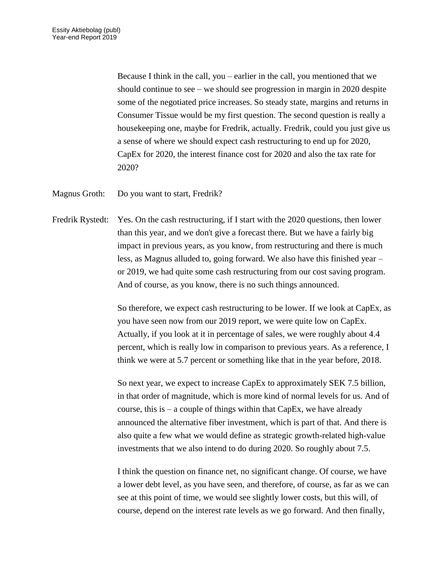Because I think in the call, you – earlier in the call, you mentioned that we should continue to see – we should see progression in margin in 2020 despite some of the negotiated price increases. So steady state, margins and returns in Consumer Tissue would be my first question. The second question is really a housekeeping one, maybe for Fredrik, actually. Fredrik, could you just give us a sense of where we should expect cash restructuring to end up for 2020, CapEx for 2020, the interest finance cost for 2020 and also the tax rate for 2020?

Magnus Groth: Do you want to start, Fredrik?

Fredrik Rystedt: Yes. On the cash restructuring, if I start with the 2020 questions, then lower than this year, and we don't give a forecast there. But we have a fairly big impact in previous years, as you know, from restructuring and there is much less, as Magnus alluded to, going forward. We also have this finished year – or 2019, we had quite some cash restructuring from our cost saving program. And of course, as you know, there is no such things announced.

> So therefore, we expect cash restructuring to be lower. If we look at CapEx, as you have seen now from our 2019 report, we were quite low on CapEx. Actually, if you look at it in percentage of sales, we were roughly about 4.4 percent, which is really low in comparison to previous years. As a reference, I think we were at 5.7 percent or something like that in the year before, 2018.

> So next year, we expect to increase CapEx to approximately SEK 7.5 billion, in that order of magnitude, which is more kind of normal levels for us. And of course, this is  $-$  a couple of things within that CapEx, we have already announced the alternative fiber investment, which is part of that. And there is also quite a few what we would define as strategic growth-related high-value investments that we also intend to do during 2020. So roughly about 7.5.

> I think the question on finance net, no significant change. Of course, we have a lower debt level, as you have seen, and therefore, of course, as far as we can see at this point of time, we would see slightly lower costs, but this will, of course, depend on the interest rate levels as we go forward. And then finally,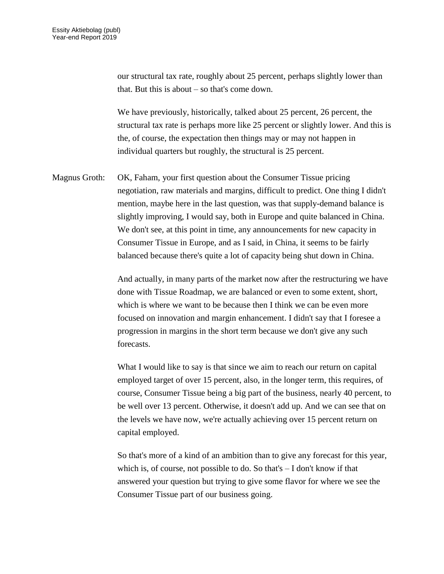our structural tax rate, roughly about 25 percent, perhaps slightly lower than that. But this is about – so that's come down.

We have previously, historically, talked about 25 percent, 26 percent, the structural tax rate is perhaps more like 25 percent or slightly lower. And this is the, of course, the expectation then things may or may not happen in individual quarters but roughly, the structural is 25 percent.

Magnus Groth: OK, Faham, your first question about the Consumer Tissue pricing negotiation, raw materials and margins, difficult to predict. One thing I didn't mention, maybe here in the last question, was that supply-demand balance is slightly improving, I would say, both in Europe and quite balanced in China. We don't see, at this point in time, any announcements for new capacity in Consumer Tissue in Europe, and as I said, in China, it seems to be fairly balanced because there's quite a lot of capacity being shut down in China.

> And actually, in many parts of the market now after the restructuring we have done with Tissue Roadmap, we are balanced or even to some extent, short, which is where we want to be because then I think we can be even more focused on innovation and margin enhancement. I didn't say that I foresee a progression in margins in the short term because we don't give any such forecasts.

What I would like to say is that since we aim to reach our return on capital employed target of over 15 percent, also, in the longer term, this requires, of course, Consumer Tissue being a big part of the business, nearly 40 percent, to be well over 13 percent. Otherwise, it doesn't add up. And we can see that on the levels we have now, we're actually achieving over 15 percent return on capital employed.

So that's more of a kind of an ambition than to give any forecast for this year, which is, of course, not possible to do. So that's – I don't know if that answered your question but trying to give some flavor for where we see the Consumer Tissue part of our business going.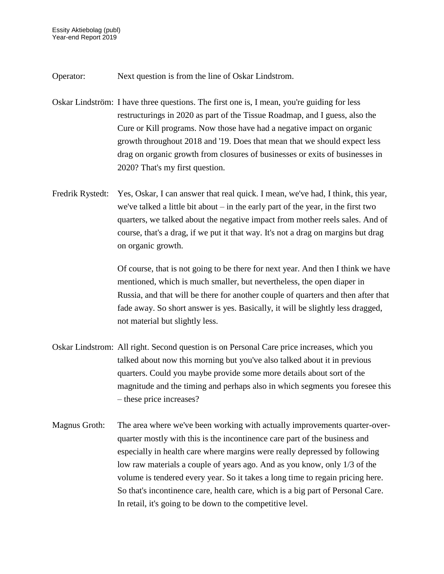Operator: Next question is from the line of Oskar Lindstrom.

- Oskar Lindström: I have three questions. The first one is, I mean, you're guiding for less restructurings in 2020 as part of the Tissue Roadmap, and I guess, also the Cure or Kill programs. Now those have had a negative impact on organic growth throughout 2018 and '19. Does that mean that we should expect less drag on organic growth from closures of businesses or exits of businesses in 2020? That's my first question.
- Fredrik Rystedt: Yes, Oskar, I can answer that real quick. I mean, we've had, I think, this year, we've talked a little bit about – in the early part of the year, in the first two quarters, we talked about the negative impact from mother reels sales. And of course, that's a drag, if we put it that way. It's not a drag on margins but drag on organic growth.

Of course, that is not going to be there for next year. And then I think we have mentioned, which is much smaller, but nevertheless, the open diaper in Russia, and that will be there for another couple of quarters and then after that fade away. So short answer is yes. Basically, it will be slightly less dragged, not material but slightly less.

- Oskar Lindstrom: All right. Second question is on Personal Care price increases, which you talked about now this morning but you've also talked about it in previous quarters. Could you maybe provide some more details about sort of the magnitude and the timing and perhaps also in which segments you foresee this – these price increases?
- Magnus Groth: The area where we've been working with actually improvements quarter-overquarter mostly with this is the incontinence care part of the business and especially in health care where margins were really depressed by following low raw materials a couple of years ago. And as you know, only 1/3 of the volume is tendered every year. So it takes a long time to regain pricing here. So that's incontinence care, health care, which is a big part of Personal Care. In retail, it's going to be down to the competitive level.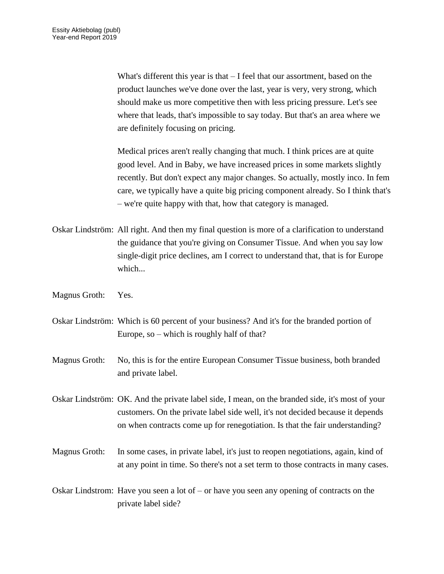What's different this year is that  $-$  I feel that our assortment, based on the product launches we've done over the last, year is very, very strong, which should make us more competitive then with less pricing pressure. Let's see where that leads, that's impossible to say today. But that's an area where we are definitely focusing on pricing.

Medical prices aren't really changing that much. I think prices are at quite good level. And in Baby, we have increased prices in some markets slightly recently. But don't expect any major changes. So actually, mostly inco. In fem care, we typically have a quite big pricing component already. So I think that's – we're quite happy with that, how that category is managed.

- Oskar Lindström: All right. And then my final question is more of a clarification to understand the guidance that you're giving on Consumer Tissue. And when you say low single-digit price declines, am I correct to understand that, that is for Europe which...
- Magnus Groth: Yes.
- Oskar Lindström: Which is 60 percent of your business? And it's for the branded portion of Europe, so – which is roughly half of that?
- Magnus Groth: No, this is for the entire European Consumer Tissue business, both branded and private label.
- Oskar Lindström: OK. And the private label side, I mean, on the branded side, it's most of your customers. On the private label side well, it's not decided because it depends on when contracts come up for renegotiation. Is that the fair understanding?
- Magnus Groth: In some cases, in private label, it's just to reopen negotiations, again, kind of at any point in time. So there's not a set term to those contracts in many cases.
- Oskar Lindstrom: Have you seen a lot of or have you seen any opening of contracts on the private label side?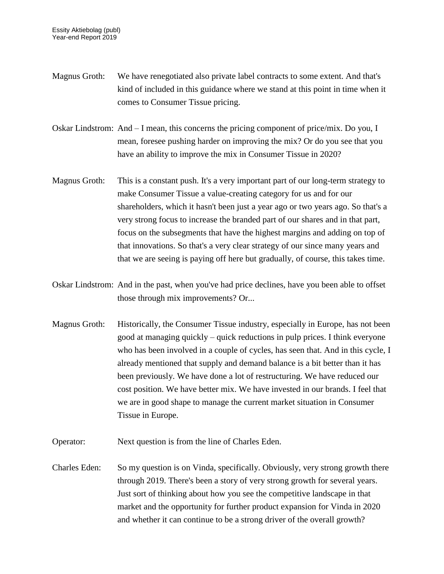- Magnus Groth: We have renegotiated also private label contracts to some extent. And that's kind of included in this guidance where we stand at this point in time when it comes to Consumer Tissue pricing.
- Oskar Lindstrom: And I mean, this concerns the pricing component of price/mix. Do you, I mean, foresee pushing harder on improving the mix? Or do you see that you have an ability to improve the mix in Consumer Tissue in 2020?
- Magnus Groth: This is a constant push. It's a very important part of our long-term strategy to make Consumer Tissue a value-creating category for us and for our shareholders, which it hasn't been just a year ago or two years ago. So that's a very strong focus to increase the branded part of our shares and in that part, focus on the subsegments that have the highest margins and adding on top of that innovations. So that's a very clear strategy of our since many years and that we are seeing is paying off here but gradually, of course, this takes time.
- Oskar Lindstrom: And in the past, when you've had price declines, have you been able to offset those through mix improvements? Or...
- Magnus Groth: Historically, the Consumer Tissue industry, especially in Europe, has not been good at managing quickly – quick reductions in pulp prices. I think everyone who has been involved in a couple of cycles, has seen that. And in this cycle, I already mentioned that supply and demand balance is a bit better than it has been previously. We have done a lot of restructuring. We have reduced our cost position. We have better mix. We have invested in our brands. I feel that we are in good shape to manage the current market situation in Consumer Tissue in Europe.
- Operator: Next question is from the line of Charles Eden.
- Charles Eden: So my question is on Vinda, specifically. Obviously, very strong growth there through 2019. There's been a story of very strong growth for several years. Just sort of thinking about how you see the competitive landscape in that market and the opportunity for further product expansion for Vinda in 2020 and whether it can continue to be a strong driver of the overall growth?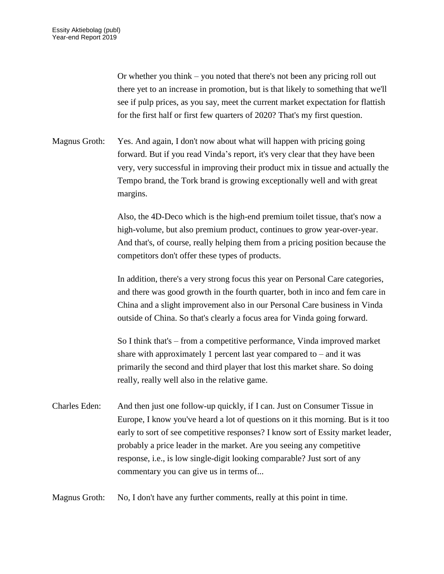Or whether you think – you noted that there's not been any pricing roll out there yet to an increase in promotion, but is that likely to something that we'll see if pulp prices, as you say, meet the current market expectation for flattish for the first half or first few quarters of 2020? That's my first question.

Magnus Groth: Yes. And again, I don't now about what will happen with pricing going forward. But if you read Vinda's report, it's very clear that they have been very, very successful in improving their product mix in tissue and actually the Tempo brand, the Tork brand is growing exceptionally well and with great margins.

> Also, the 4D-Deco which is the high-end premium toilet tissue, that's now a high-volume, but also premium product, continues to grow year-over-year. And that's, of course, really helping them from a pricing position because the competitors don't offer these types of products.

> In addition, there's a very strong focus this year on Personal Care categories, and there was good growth in the fourth quarter, both in inco and fem care in China and a slight improvement also in our Personal Care business in Vinda outside of China. So that's clearly a focus area for Vinda going forward.

So I think that's – from a competitive performance, Vinda improved market share with approximately 1 percent last year compared to  $-$  and it was primarily the second and third player that lost this market share. So doing really, really well also in the relative game.

Charles Eden: And then just one follow-up quickly, if I can. Just on Consumer Tissue in Europe, I know you've heard a lot of questions on it this morning. But is it too early to sort of see competitive responses? I know sort of Essity market leader, probably a price leader in the market. Are you seeing any competitive response, i.e., is low single-digit looking comparable? Just sort of any commentary you can give us in terms of...

Magnus Groth: No, I don't have any further comments, really at this point in time.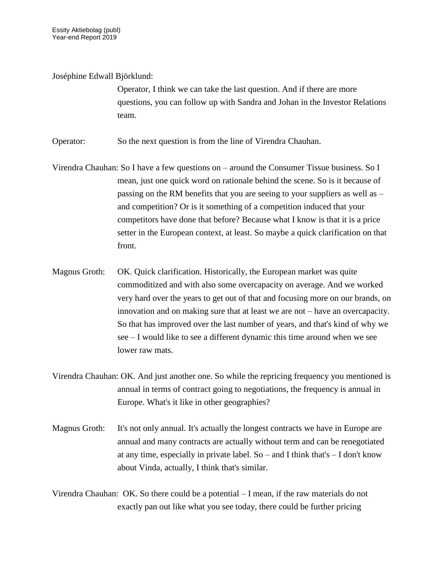Joséphine Edwall Björklund:

Operator, I think we can take the last question. And if there are more questions, you can follow up with Sandra and Johan in the Investor Relations team.

Operator: So the next question is from the line of Virendra Chauhan.

Virendra Chauhan: So I have a few questions on – around the Consumer Tissue business. So I mean, just one quick word on rationale behind the scene. So is it because of passing on the RM benefits that you are seeing to your suppliers as well as – and competition? Or is it something of a competition induced that your competitors have done that before? Because what I know is that it is a price setter in the European context, at least. So maybe a quick clarification on that front.

- Magnus Groth: OK. Quick clarification. Historically, the European market was quite commoditized and with also some overcapacity on average. And we worked very hard over the years to get out of that and focusing more on our brands, on innovation and on making sure that at least we are not – have an overcapacity. So that has improved over the last number of years, and that's kind of why we see – I would like to see a different dynamic this time around when we see lower raw mats.
- Virendra Chauhan: OK. And just another one. So while the repricing frequency you mentioned is annual in terms of contract going to negotiations, the frequency is annual in Europe. What's it like in other geographies?
- Magnus Groth: It's not only annual. It's actually the longest contracts we have in Europe are annual and many contracts are actually without term and can be renegotiated at any time, especially in private label. So – and I think that's – I don't know about Vinda, actually, I think that's similar.

Virendra Chauhan: OK. So there could be a potential – I mean, if the raw materials do not exactly pan out like what you see today, there could be further pricing